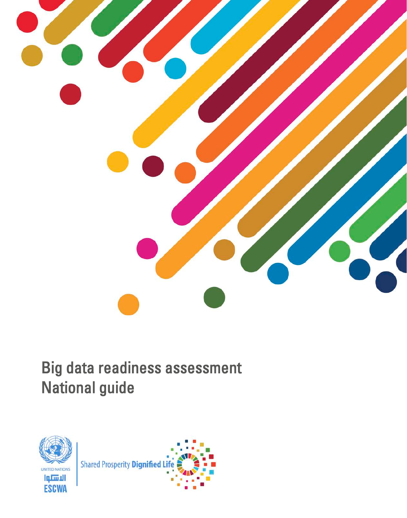

# Big data readiness assessment National guide



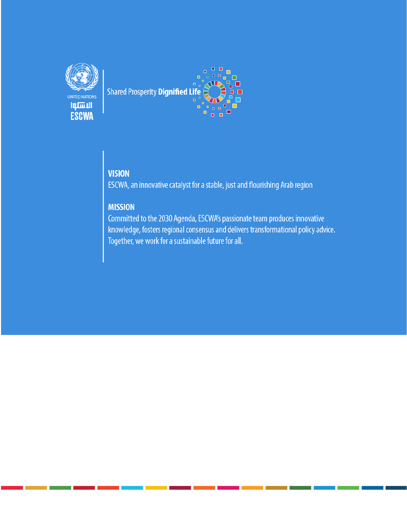



# **VISION**

ESCWA, an innovative catalyst for a stable, just and flourishing Arab region

## **MISSION**

Committed to the 2030 Agenda, ESCWA's passionate team produces innovative knowledge, fosters regional consensus and delivers transformational policy advice. Together, we work for a sustainable future for all.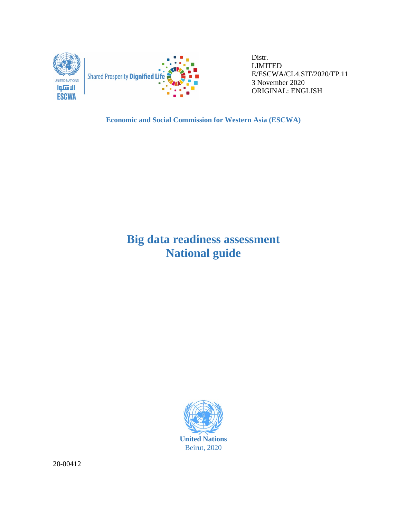

Distr. LIMITED E/ESCWA/CL4.SIT/2020/TP.11 3 November 2020 ORIGINAL: ENGLISH

**Economic and Social Commission for Western Asia (ESCWA)**

# **Big data readiness assessment National guide**



20-00412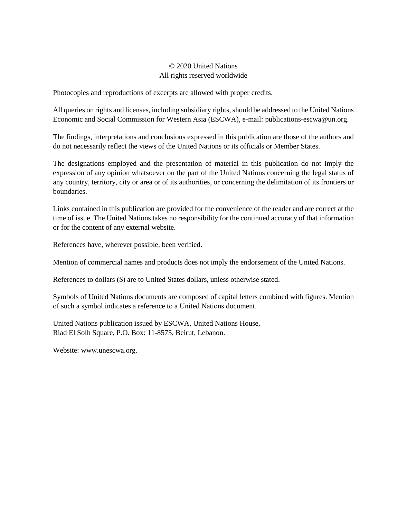#### © 2020 United Nations All rights reserved worldwide

Photocopies and reproductions of excerpts are allowed with proper credits.

All queries on rights and licenses, including subsidiary rights, should be addressed to the United Nations Economic and Social Commission for Western Asia (ESCWA), e-mail: publications-escwa@un.org.

The findings, interpretations and conclusions expressed in this publication are those of the authors and do not necessarily reflect the views of the United Nations or its officials or Member States.

The designations employed and the presentation of material in this publication do not imply the expression of any opinion whatsoever on the part of the United Nations concerning the legal status of any country, territory, city or area or of its authorities, or concerning the delimitation of its frontiers or boundaries.

Links contained in this publication are provided for the convenience of the reader and are correct at the time of issue. The United Nations takes no responsibility for the continued accuracy of that information or for the content of any external website.

References have, wherever possible, been verified.

Mention of commercial names and products does not imply the endorsement of the United Nations.

References to dollars (\$) are to United States dollars, unless otherwise stated.

Symbols of United Nations documents are composed of capital letters combined with figures. Mention of such a symbol indicates a reference to a United Nations document.

United Nations publication issued by ESCWA, United Nations House, Riad El Solh Square, P.O. Box: 11-8575, Beirut, Lebanon.

Website: [www.unescwa.org.](http://www.unescwa.org/)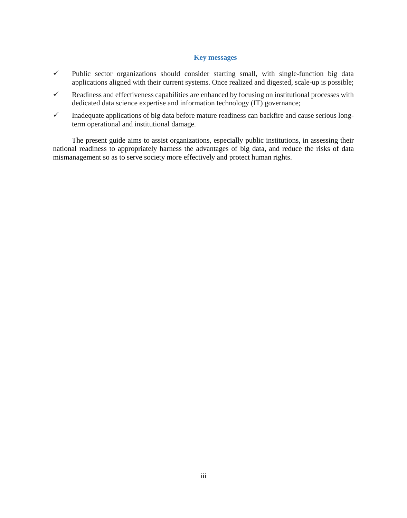#### **Key messages**

- <span id="page-4-0"></span> $\checkmark$  Public sector organizations should consider starting small, with single-function big data applications aligned with their current systems. Once realized and digested, scale-up is possible;
- $\checkmark$  Readiness and effectiveness capabilities are enhanced by focusing on institutional processes with dedicated data science expertise and information technology (IT) governance;
- $\checkmark$  Inadequate applications of big data before mature readiness can backfire and cause serious longterm operational and institutional damage.

The present guide aims to assist organizations, especially public institutions, in assessing their national readiness to appropriately harness the advantages of big data, and reduce the risks of data mismanagement so as to serve society more effectively and protect human rights.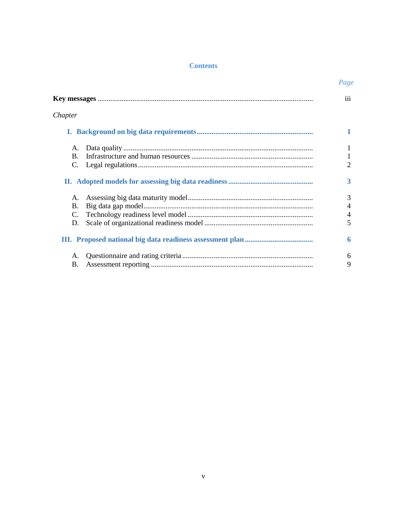### **Contents**

Page

| Chapter   |  |                |
|-----------|--|----------------|
|           |  |                |
| А.        |  | 1              |
| B.        |  | $\mathbf{1}$   |
|           |  | 2              |
|           |  | 3              |
| A.        |  | 3              |
| <b>B.</b> |  | 4              |
| C.        |  | $\overline{4}$ |
| D.        |  | 5              |
|           |  | 6              |
| A.        |  | 6              |
| <b>B.</b> |  | 9              |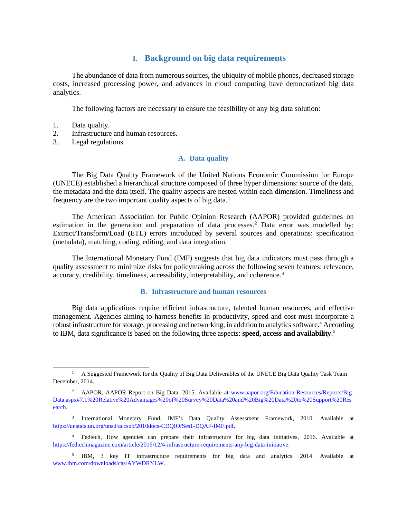#### **I. Background on big data requirements**

<span id="page-8-0"></span>The abundance of data from numerous sources, the ubiquity of mobile phones, decreased storage costs, increased processing power, and advances in cloud computing have democratized big data analytics.

The following factors are necessary to ensure the feasibility of any big data solution:

- 1. Data quality.
- 2. Infrastructure and human resources.
- <span id="page-8-1"></span>3. Legal regulations.

#### **A. Data quality**

The Big Data Quality Framework of the United Nations Economic Commission for Europe (UNECE) established a hierarchical structure composed of three hyper dimensions: source of the data, the metadata and the data itself. The quality aspects are nested within each dimension. Timeliness and frequency are the two important quality aspects of big data.<sup>1</sup>

The American Association for Public Opinion Research (AAPOR) provided guidelines on estimation in the generation and preparation of data processes.<sup>[2](#page-8-4)</sup> Data error was modelled by: Extract/Transform/Load **(**ETL) errors introduced by several sources and operations: specification (metadata), matching, coding, editing, and data integration*.*

The International Monetary Fund (IMF) suggests that big data indicators must pass through a quality assessment to minimize risks for policymaking across the following seven features: relevance, accuracy, credibility, timeliness, accessibility, interpretability, and coherence.[3](#page-8-5)

#### **B. Infrastructure and human resources**

<span id="page-8-2"></span>Big data applications require efficient infrastructure, talented human resources, and effective management. Agencies aiming to harness benefits in productivity, speed and cost must incorporate a robust infrastructure for storage, processing and networking, in addition to analytics software.<sup>[4](#page-8-6)</sup> According to IBM, data significance is based on the following three aspects: **speed, access and availability**. [5](#page-8-7)

<span id="page-8-3"></span><sup>&</sup>lt;sup>1</sup> A Suggested Framework for the Quality of Big Data Deliverables of the UNECE Big Data Quality Task Team December, 2014.

<span id="page-8-4"></span><sup>&</sup>lt;sup>2</sup> AAPOR, AAPOR Report on Big Data, 2015. Available at [www.aapor.org/Education-Resources/Reports/Big-](http://www.aapor.org/Education-Resources/Reports/Big-Data.aspx#7.1%20Relative%20Advantages%20of%20Survey%20Data%20and%20Big%20Data%20to%20Support%20Research)[Data.aspx#7.1%20Relative%20Advantages%20of%20Survey%20Data%20and%20Big%20Data%20to%20Support%20Res](http://www.aapor.org/Education-Resources/Reports/Big-Data.aspx#7.1%20Relative%20Advantages%20of%20Survey%20Data%20and%20Big%20Data%20to%20Support%20Research) [earch.](http://www.aapor.org/Education-Resources/Reports/Big-Data.aspx#7.1%20Relative%20Advantages%20of%20Survey%20Data%20and%20Big%20Data%20to%20Support%20Research)

<span id="page-8-5"></span><sup>3</sup> International Monetary Fund, IMF's Data Quality Assessment Framework, 2010. Available at [https://unstats.un.org/unsd/accsub/2010docs-CDQIO/Ses1-DQAF-IMF.pdf.](https://unstats.un.org/unsd/accsub/2010docs-CDQIO/Ses1-DQAF-IMF.pdf)

<span id="page-8-6"></span><sup>4</sup> Fedtech, How agencies can prepare their infrastructure for big data initiatives, 2016. Available at [https://fedtechmagazine.com/article/2016/12/4-infrastructure-requirements-any-big-data-initiative.](https://fedtechmagazine.com/article/2016/12/4-infrastructure-requirements-any-big-data-initiative)

<span id="page-8-7"></span><sup>5</sup> IBM, 3 key IT infrastructure requirements for big data and analytics, 2014. Available at www.ibm.com/downloads/cas/AYWDRYLW.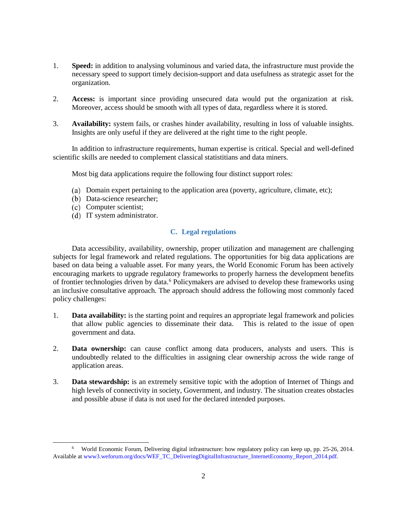- 1. **Speed:** in addition to analysing voluminous and varied data, the infrastructure must provide the necessary speed to support timely decision-support and data usefulness as strategic asset for the organization.
- 2. **Access:** is important since providing unsecured data would put the organization at risk. Moreover, access should be smooth with all types of data, regardless where it is stored.
- 3. **Availability:** system fails, or crashes hinder availability, resulting in loss of valuable insights. Insights are only useful if they are delivered at the right time to the right people.

In addition to infrastructure requirements, human expertise is critical. Special and well-defined scientific skills are needed to complement classical statistitians and data miners.

Most big data applications require the following four distinct support roles:

- Domain expert pertaining to the application area (poverty, agriculture, climate, etc);
- (b) Data-science researcher;
- (c) Computer scientist;
- <span id="page-9-0"></span>(d) IT system administrator.

#### **C. Legal regulations**

Data accessibility, availability, ownership, proper utilization and management are challenging subjects for legal framework and related regulations. The opportunities for big data applications are based on data being a valuable asset. For many years, the World Economic Forum has been actively encouraging markets to upgrade regulatory frameworks to properly harness the development benefits of frontier technologies driven by data. [6](#page-9-1) Policymakers are advised to develop these frameworks using an inclusive consultative approach. The approach should address the following most commonly faced policy challenges:

- 1. **Data availability:** is the starting point and requires an appropriate legal framework and policies that allow public agencies to disseminate their data. This is related to the issue of open government and data.
- 2. **Data ownership:** can cause conflict among data producers, analysts and users. This is undoubtedly related to the difficulties in assigning clear ownership across the wide range of application areas.
- 3. **Data stewardship:** is an extremely sensitive topic with the adoption of Internet of Things and high levels of connectivity in society, Government, and industry. The situation creates obstacles and possible abuse if data is not used for the declared intended purposes.

<span id="page-9-1"></span> <sup>6</sup> World Economic Forum, Delivering digital infrastructure: how regulatory policy can keep up, pp. 25-26, 2014. Available at [www3.weforum.org/docs/WEF\\_TC\\_DeliveringDigitalInfrastructure\\_InternetEconomy\\_Report\\_2014.pdf.](http://www3.weforum.org/docs/WEF_TC_DeliveringDigitalInfrastructure_InternetEconomy_Report_2014.pdf)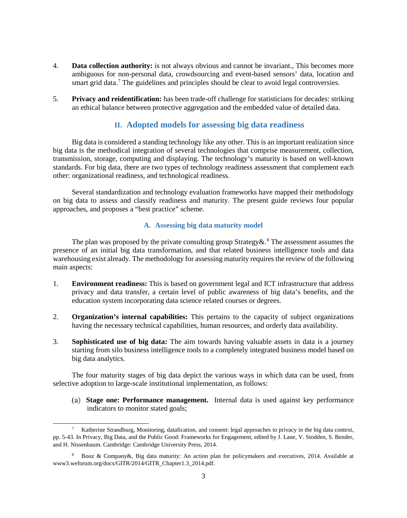- 4. **Data collection authority:** is not always obvious and cannot be invariant., This becomes more ambiguous for non-personal data, crowdsourcing and event-based sensors' data, location and smart grid data.<sup>[7](#page-10-2)</sup> The guidelines and principles should be clear to avoid legal controversies.
- 5. **Privacy and reidentification:** has been trade-off challenge for statisticians for decades: striking an ethical balance between protective aggregation and the embedded value of detailed data.

#### **II. Adopted models for assessing big data readiness**

<span id="page-10-0"></span>Big data is considered a standing technology like any other. This is an important realization since big data is the methodical integration of several technologies that comprise measurement, collection, transmission, storage, computing and displaying. The technology's maturity is based on well-known standards. For big data, there are two types of technology readiness assessment that complement each other: organizational readiness, and technological readiness.

Several standardization and technology evaluation frameworks have mapped their methodology on big data to assess and classify readiness and maturity. The present guide reviews four popular approaches, and proposes a "best practice" scheme.

#### **A. Assessing big data maturity model**

<span id="page-10-1"></span>The plan was proposed by the private consulting group Strategy &.<sup>[8](#page-10-3)</sup> The assessment assumes the presence of an initial big data transformation, and that related business intelligence tools and data warehousing exist already. The methodology for assessing maturity requires the review of the following main aspects:

- 1. **Environment readiness:** This is based on government legal and ICT infrastructure that address privacy and data transfer, a certain level of public awareness of big data's benefits, and the education system incorporating data science related courses or degrees.
- 2. **Organization's internal capabilities:** This pertains to the capacity of subject organizations having the necessary technical capabilities, human resources, and orderly data availability.
- 3. **Sophisticated use of big data:** The aim towards having valuable assets in data is a journey starting from silo business intelligence tools to a completely integrated business model based on big data analytics.

The four maturity stages of big data depict the various ways in which data can be used, from selective adoption to large-scale institutional implementation, as follows:

**Stage one: Performance management.** Internal data is used against key performance indicators to monitor stated goals;

<span id="page-10-2"></span> <sup>7</sup> Katherine Strandburg, Monitoring, datafication, and consent: legal approaches to privacy in the big data context, pp. 5-43. In Privacy, Big Data, and the Public Good: Frameworks for Engagement, edited by J. Lane, V. Stodden, S. Bender, and H. Nissenbaum. Cambridge: Cambridge University Press, 2014.

<span id="page-10-3"></span><sup>8</sup> Booz & Company&, Big data maturity: An action plan for policymakers and executives, 2014. Available at www3.weforum.org/docs/GITR/2014/GITR\_Chapter1.3\_2014.pdf.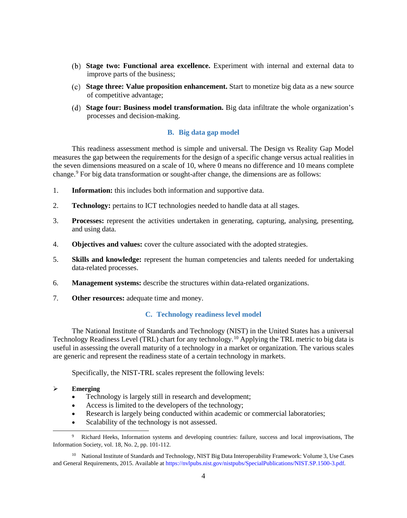- **Stage two: Functional area excellence.** Experiment with internal and external data to improve parts of the business;
- **Stage three: Value proposition enhancement.** Start to monetize big data as a new source of competitive advantage;
- **Stage four: Business model transformation.** Big data infiltrate the whole organization's processes and decision-making.

#### **B. Big data gap model**

<span id="page-11-0"></span>This readiness assessment method is simple and universal. The Design vs Reality Gap Model measures the gap between the requirements for the design of a specific change versus actual realities in the seven dimensions measured on a scale of 10, where 0 means no difference and 10 means complete change.<sup>[9](#page-11-2)</sup> For big data transformation or sought-after change, the dimensions are as follows:

- 1. **Information:** this includes both information and supportive data.
- 2. **Technology:** pertains to ICT technologies needed to handle data at all stages.
- 3. **Processes:** represent the activities undertaken in generating, capturing, analysing, presenting, and using data.
- 4. **Objectives and values:** cover the culture associated with the adopted strategies.
- 5. **Skills and knowledge:** represent the human competencies and talents needed for undertaking data-related processes.
- 6. **Management systems:** describe the structures within data-related organizations.
- <span id="page-11-1"></span>7. **Other resources:** adequate time and money.

#### **C. Technology readiness level model**

The National Institute of Standards and Technology (NIST) in the United States has a universal Technology Readiness Level (TRL) chart for any technology.<sup>[10](#page-11-3)</sup> Applying the TRL metric to big data is useful in assessing the overall maturity of a technology in a market or organization. The various scales are generic and represent the readiness state of a certain technology in markets.

Specifically, the NIST-TRL scales represent the following levels:

- **Emerging**
	- Technology is largely still in research and development;
	- Access is limited to the developers of the technology;
	- Research is largely being conducted within academic or commercial laboratories;
	- Scalability of the technology is not assessed.

<span id="page-11-2"></span> <sup>9</sup> Richard Heeks, Information systems and developing countries: failure, success and local improvisations, The Information Society, vol. 18, No. 2, pp. 101-112.

<span id="page-11-3"></span><sup>&</sup>lt;sup>10</sup> National Institute of Standards and Technology, NIST Big Data Interoperability Framework: Volume 3, Use Cases and General Requirements, 2015. Available at [https://nvlpubs.nist.gov/nistpubs/SpecialPublications/NIST.SP.1500-3.pdf.](https://nvlpubs.nist.gov/nistpubs/SpecialPublications/NIST.SP.1500-3.pdf)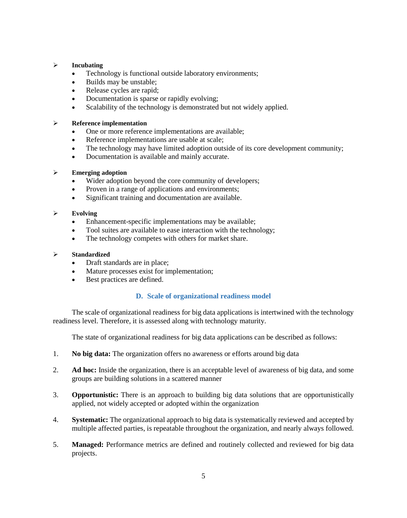#### **Incubating**

- Technology is functional outside laboratory environments;
- Builds may be unstable;
- Release cycles are rapid;
- Documentation is sparse or rapidly evolving;
- Scalability of the technology is demonstrated but not widely applied.

#### **Reference implementation**

- One or more reference implementations are available;
- Reference implementations are usable at scale;
- The technology may have limited adoption outside of its core development community;
- Documentation is available and mainly accurate.

#### **Emerging adoption**

- Wider adoption beyond the core community of developers;
- Proven in a range of applications and environments;
- Significant training and documentation are available.

#### **Evolving**

- Enhancement-specific implementations may be available;
- Tool suites are available to ease interaction with the technology;
- The technology competes with others for market share.

#### **Standardized**

- Draft standards are in place;
- Mature processes exist for implementation;
- <span id="page-12-0"></span>• Best practices are defined.

#### **D. Scale of organizational readiness model**

The scale of organizational readiness for big data applications is intertwined with the technology readiness level. Therefore, it is assessed along with technology maturity.

The state of organizational readiness for big data applications can be described as follows:

- 1. **No big data:** The organization offers no awareness or efforts around big data
- 2. **Ad hoc:** Inside the organization, there is an acceptable level of awareness of big data, and some groups are building solutions in a scattered manner
- 3. **Opportunistic:** There is an approach to building big data solutions that are opportunistically applied, not widely accepted or adopted within the organization
- 4. **Systematic:** The organizational approach to big data is systematically reviewed and accepted by multiple affected parties, is repeatable throughout the organization, and nearly always followed.
- 5. **Managed:** Performance metrics are defined and routinely collected and reviewed for big data projects.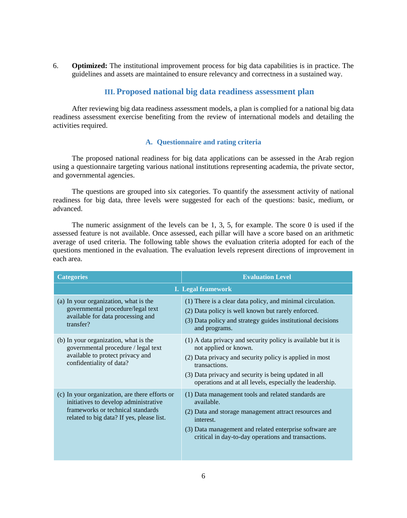6. **Optimized:** The institutional improvement process for big data capabilities is in practice. The guidelines and assets are maintained to ensure relevancy and correctness in a sustained way.

#### **III. Proposed national big data readiness assessment plan**

<span id="page-13-0"></span>After reviewing big data readiness assessment models, a plan is complied for a national big data readiness assessment exercise benefiting from the review of international models and detailing the activities required.

#### **A. Questionnaire and rating criteria**

<span id="page-13-1"></span>The proposed national readiness for big data applications can be assessed in the Arab region using a questionnaire targeting various national institutions representing academia, the private sector, and governmental agencies.

The questions are grouped into six categories. To quantify the assessment activity of national readiness for big data, three levels were suggested for each of the questions: basic, medium, or advanced.

The numeric assignment of the levels can be 1, 3, 5, for example. The score 0 is used if the assessed feature is not available. Once assessed, each pillar will have a score based on an arithmetic average of used criteria. The following table shows the evaluation criteria adopted for each of the questions mentioned in the evaluation. The evaluation levels represent directions of improvement in each area.

| <b>Categories</b>                                                                                                                                                         | <b>Evaluation Level</b>                                                                                                                                                                                                                                                                 |  |  |  |
|---------------------------------------------------------------------------------------------------------------------------------------------------------------------------|-----------------------------------------------------------------------------------------------------------------------------------------------------------------------------------------------------------------------------------------------------------------------------------------|--|--|--|
| <b>I.</b> Legal framework                                                                                                                                                 |                                                                                                                                                                                                                                                                                         |  |  |  |
| (a) In your organization, what is the<br>governmental procedure/legal text<br>available for data processing and<br>transfer?                                              | (1) There is a clear data policy, and minimal circulation.<br>(2) Data policy is well known but rarely enforced.<br>(3) Data policy and strategy guides institutional decisions<br>and programs.                                                                                        |  |  |  |
| (b) In your organization, what is the<br>governmental procedure / legal text<br>available to protect privacy and<br>confidentiality of data?                              | (1) A data privacy and security policy is available but it is<br>not applied or known.<br>(2) Data privacy and security policy is applied in most<br>transactions.<br>(3) Data privacy and security is being updated in all<br>operations and at all levels, especially the leadership. |  |  |  |
| (c) In your organization, are there efforts or<br>initiatives to develop administrative<br>frameworks or technical standards<br>related to big data? If yes, please list. | (1) Data management tools and related standards are<br>available.<br>(2) Data and storage management attract resources and<br>interest.<br>(3) Data management and related enterprise software are<br>critical in day-to-day operations and transactions.                               |  |  |  |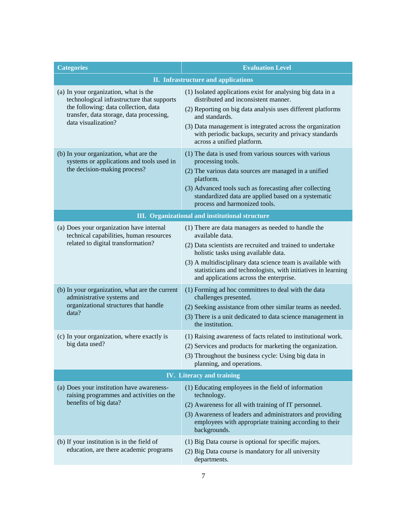| <b>Categories</b>                                                                                                                                                                              | <b>Evaluation Level</b>                                                                                                                                                                                                                                                                                                                                 |  |  |  |
|------------------------------------------------------------------------------------------------------------------------------------------------------------------------------------------------|---------------------------------------------------------------------------------------------------------------------------------------------------------------------------------------------------------------------------------------------------------------------------------------------------------------------------------------------------------|--|--|--|
| <b>II.</b> Infrastructure and applications                                                                                                                                                     |                                                                                                                                                                                                                                                                                                                                                         |  |  |  |
| (a) In your organization, what is the<br>technological infrastructure that supports<br>the following: data collection, data<br>transfer, data storage, data processing,<br>data visualization? | (1) Isolated applications exist for analysing big data in a<br>distributed and inconsistent manner.<br>(2) Reporting on big data analysis uses different platforms<br>and standards.<br>(3) Data management is integrated across the organization<br>with periodic backups, security and privacy standards<br>across a unified platform.                |  |  |  |
| (b) In your organization, what are the<br>systems or applications and tools used in<br>the decision-making process?                                                                            | (1) The data is used from various sources with various<br>processing tools.<br>(2) The various data sources are managed in a unified<br>platform.<br>(3) Advanced tools such as forecasting after collecting<br>standardized data are applied based on a systematic<br>process and harmonized tools.                                                    |  |  |  |
|                                                                                                                                                                                                | <b>III.</b> Organizational and institutional structure                                                                                                                                                                                                                                                                                                  |  |  |  |
| (a) Does your organization have internal<br>technical capabilities, human resources<br>related to digital transformation?                                                                      | (1) There are data managers as needed to handle the<br>available data.<br>(2) Data scientists are recruited and trained to undertake<br>holistic tasks using available data.<br>(3) A multidisciplinary data science team is available with<br>statisticians and technologists, with initiatives in learning<br>and applications across the enterprise. |  |  |  |
| (b) In your organization, what are the current<br>administrative systems and<br>organizational structures that handle<br>data?                                                                 | (1) Forming ad hoc committees to deal with the data<br>challenges presented.<br>(2) Seeking assistance from other similar teams as needed.<br>(3) There is a unit dedicated to data science management in<br>the institution.                                                                                                                           |  |  |  |
| (c) In your organization, where exactly is<br>big data used?                                                                                                                                   | (1) Raising awareness of facts related to institutional work.<br>(2) Services and products for marketing the organization.<br>(3) Throughout the business cycle: Using big data in<br>planning, and operations.                                                                                                                                         |  |  |  |
| <b>IV.</b> Literacy and training                                                                                                                                                               |                                                                                                                                                                                                                                                                                                                                                         |  |  |  |
| (a) Does your institution have awareness-<br>raising programmes and activities on the<br>benefits of big data?                                                                                 | (1) Educating employees in the field of information<br>technology.<br>(2) Awareness for all with training of IT personnel.<br>(3) Awareness of leaders and administrators and providing<br>employees with appropriate training according to their<br>backgrounds.                                                                                       |  |  |  |
| (b) If your institution is in the field of<br>education, are there academic programs                                                                                                           | (1) Big Data course is optional for specific majors.<br>(2) Big Data course is mandatory for all university<br>departments.                                                                                                                                                                                                                             |  |  |  |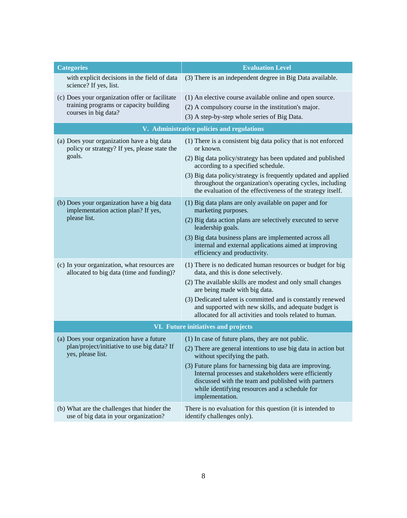| <b>Categories</b>                                                                         | <b>Evaluation Level</b>                                                                                                                                                                                                                     |  |  |  |
|-------------------------------------------------------------------------------------------|---------------------------------------------------------------------------------------------------------------------------------------------------------------------------------------------------------------------------------------------|--|--|--|
| with explicit decisions in the field of data<br>science? If yes, list.                    | (3) There is an independent degree in Big Data available.                                                                                                                                                                                   |  |  |  |
| (c) Does your organization offer or facilitate                                            | (1) An elective course available online and open source.                                                                                                                                                                                    |  |  |  |
| training programs or capacity building<br>courses in big data?                            | (2) A compulsory course in the institution's major.<br>(3) A step-by-step whole series of Big Data.                                                                                                                                         |  |  |  |
| V. Administrative policies and regulations                                                |                                                                                                                                                                                                                                             |  |  |  |
| (a) Does your organization have a big data                                                | (1) There is a consistent big data policy that is not enforced                                                                                                                                                                              |  |  |  |
| policy or strategy? If yes, please state the                                              | or known.                                                                                                                                                                                                                                   |  |  |  |
| goals.                                                                                    | (2) Big data policy/strategy has been updated and published<br>according to a specified schedule.                                                                                                                                           |  |  |  |
|                                                                                           | (3) Big data policy/strategy is frequently updated and applied<br>throughout the organization's operating cycles, including<br>the evaluation of the effectiveness of the strategy itself.                                                  |  |  |  |
| (b) Does your organization have a big data<br>implementation action plan? If yes,         | (1) Big data plans are only available on paper and for<br>marketing purposes.                                                                                                                                                               |  |  |  |
| please list.                                                                              | (2) Big data action plans are selectively executed to serve<br>leadership goals.                                                                                                                                                            |  |  |  |
|                                                                                           | (3) Big data business plans are implemented across all<br>internal and external applications aimed at improving<br>efficiency and productivity.                                                                                             |  |  |  |
| (c) In your organization, what resources are<br>allocated to big data (time and funding)? | (1) There is no dedicated human resources or budget for big<br>data, and this is done selectively.                                                                                                                                          |  |  |  |
|                                                                                           | (2) The available skills are modest and only small changes<br>are being made with big data.                                                                                                                                                 |  |  |  |
|                                                                                           | (3) Dedicated talent is committed and is constantly renewed<br>and supported with new skills, and adequate budget is<br>allocated for all activities and tools related to human.                                                            |  |  |  |
| VI. Future initiatives and projects                                                       |                                                                                                                                                                                                                                             |  |  |  |
| (a) Does your organization have a future                                                  | (1) In case of future plans, they are not public.                                                                                                                                                                                           |  |  |  |
| plan/project/initiative to use big data? If<br>yes, please list.                          | (2) There are general intentions to use big data in action but<br>without specifying the path.                                                                                                                                              |  |  |  |
|                                                                                           | (3) Future plans for harnessing big data are improving.<br>Internal processes and stakeholders were efficiently<br>discussed with the team and published with partners<br>while identifying resources and a schedule for<br>implementation. |  |  |  |
| (b) What are the challenges that hinder the<br>use of big data in your organization?      | There is no evaluation for this question (it is intended to<br>identify challenges only).                                                                                                                                                   |  |  |  |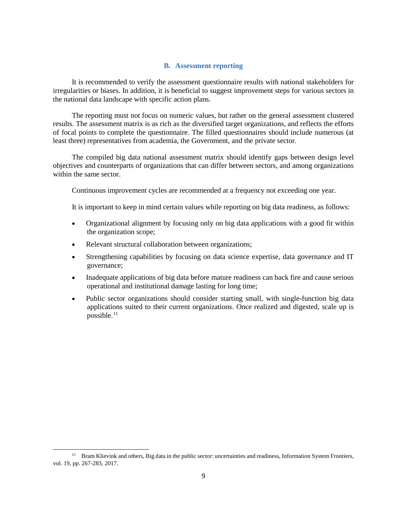#### **B. Assessment reporting**

<span id="page-16-0"></span>It is recommended to verify the assessment questionnaire results with national stakeholders for irregularities or biases. In addition, it is beneficial to suggest improvement steps for various sectors in the national data landscape with specific action plans.

The reporting must not focus on numeric values, but rather on the general assessment clustered results. The assessment matrix is as rich as the diversified target organizations, and reflects the efforts of focal points to complete the questionnaire. The filled questionnaires should include numerous (at least three) representatives from academia, the Government, and the private sector.

The compiled big data national assessment matrix should identify gaps between design level objectives and counterparts of organizations that can differ between sectors, and among organizations within the same sector.

Continuous improvement cycles are recommended at a frequency not exceeding one year.

It is important to keep in mind certain values while reporting on big data readiness, as follows:

- Organizational alignment by focusing only on big data applications with a good fit within the organization scope;
- Relevant structural collaboration between organizations;
- Strengthening capabilities by focusing on data science expertise, data governance and IT governance;
- Inadequate applications of big data before mature readiness can back fire and cause serious operational and institutional damage lasting for long time;
- Public sector organizations should consider starting small, with single-function big data applications suited to their current organizations. Once realized and digested, scale up is possible.[11](#page-16-1)

<span id="page-16-1"></span> $11$  Bram Klievink and others, Big data in the public sector: uncertainties and readiness, Information System Frontiers, vol. 19, pp. 267-283, 2017.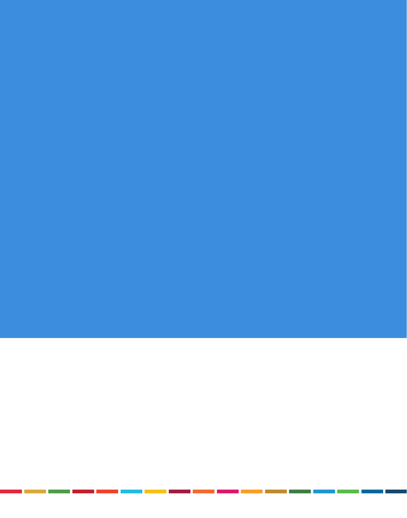والمتنا والمتنا والمتواطئ والمتنا والمتنا المتنا والمتنا المتنا والمتنا والمتنا والمتا المتنا المتنا والمتنا والمت

and the first party